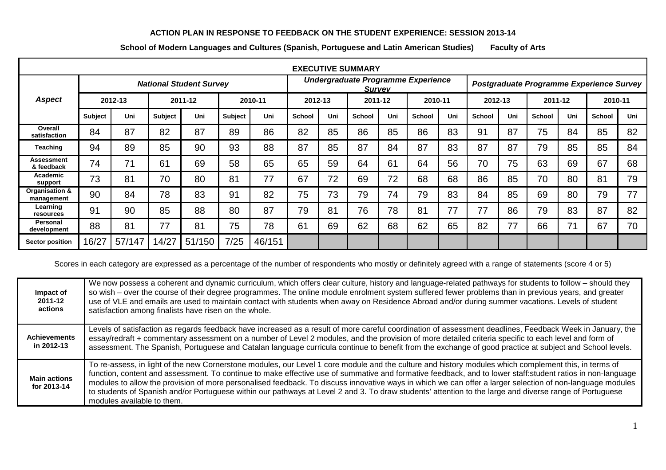## **ACTION PLAN IN RESPONSE TO FEEDBACK ON THE STUDENT EXPERIENCE: SESSION 2013-14**

| <b>EXECUTIVE SUMMARY</b>       |                                |        |                |        |                |        |                                                     |     |               |     |               |                                          |         |     |               |     |         |     |
|--------------------------------|--------------------------------|--------|----------------|--------|----------------|--------|-----------------------------------------------------|-----|---------------|-----|---------------|------------------------------------------|---------|-----|---------------|-----|---------|-----|
|                                | <b>National Student Survey</b> |        |                |        |                |        | Undergraduate Programme Experience<br><b>Survey</b> |     |               |     |               | Postgraduate Programme Experience Survey |         |     |               |     |         |     |
| <b>Aspect</b>                  | 2012-13                        |        | 2011-12        |        | 2010-11        |        | 2012-13                                             |     | 2011-12       |     | 2010-11       |                                          | 2012-13 |     | 2011-12       |     | 2010-11 |     |
|                                | <b>Subject</b>                 | Uni    | <b>Subject</b> | Uni    | <b>Subject</b> | Uni    | <b>School</b>                                       | Uni | <b>School</b> | Uni | <b>School</b> | Uni                                      | School  | Uni | <b>School</b> | Uni | School  | Uni |
| Overall<br>satisfaction        | 84                             | 87     | 82             | 87     | 89             | 86     | 82                                                  | 85  | 86            | 85  | 86            | 83                                       | 91      | 87  | 75            | 84  | 85      | 82  |
| Teaching                       | 94                             | 89     | 85             | 90     | 93             | 88     | 87                                                  | 85  | 87            | 84  | 87            | 83                                       | 87      | 87  | 79            | 85  | 85      | 84  |
| Assessment<br>& feedback       | 74                             | 71     | 61             | 69     | 58             | 65     | 65                                                  | 59  | 64            | 61  | 64            | 56                                       | 70      | 75  | 63            | 69  | 67      | 68  |
| Academic<br>support            | 73                             | 81     | 70             | 80     | 81             | 77     | 67                                                  | 72  | 69            | 72  | 68            | 68                                       | 86      | 85  | 70            | 80  | 81      | 79  |
| Organisation &<br>management   | 90                             | 84     | 78             | 83     | 91             | 82     | 75                                                  | 73  | 79            | 74  | 79            | 83                                       | 84      | 85  | 69            | 80  | 79      | 77  |
| Learning<br>resources          | 91                             | 90     | 85             | 88     | 80             | 87     | 79                                                  | 81  | 76            | 78  | 81            | 77                                       | 77      | 86  | 79            | 83  | 87      | 82  |
| <b>Personal</b><br>development | 88                             | 81     | 77             | 81     | 75             | 78     | 61                                                  | 69  | 62            | 68  | 62            | 65                                       | 82      | 77  | 66            | 71  | 67      | 70  |
| <b>Sector position</b>         | 16/27                          | 57/147 | 14/27          | 51/150 | 7/25           | 46/151 |                                                     |     |               |     |               |                                          |         |     |               |     |         |     |

**School of Modern Languages and Cultures (Spanish, Portuguese and Latin American Studies) Faculty of Arts**

Scores in each category are expressed as a percentage of the number of respondents who mostly or definitely agreed with a range of statements (score 4 or 5)

| Impact of<br>2011-12<br>actions    | We now possess a coherent and dynamic curriculum, which offers clear culture, history and language-related pathways for students to follow – should they<br>so wish - over the course of their degree programmes. The online module enrolment system suffered fewer problems than in previous years, and greater<br>use of VLE and emails are used to maintain contact with students when away on Residence Abroad and/or during summer vacations. Levels of student<br>satisfaction among finalists have risen on the whole.                                                                                                                                              |
|------------------------------------|----------------------------------------------------------------------------------------------------------------------------------------------------------------------------------------------------------------------------------------------------------------------------------------------------------------------------------------------------------------------------------------------------------------------------------------------------------------------------------------------------------------------------------------------------------------------------------------------------------------------------------------------------------------------------|
| <b>Achievements</b><br>in 2012-13  | Levels of satisfaction as regards feedback have increased as a result of more careful coordination of assessment deadlines, Feedback Week in January, the<br>essay/redraft + commentary assessment on a number of Level 2 modules, and the provision of more detailed criteria specific to each level and form of<br>assessment. The Spanish, Portuguese and Catalan language curricula continue to benefit from the exchange of good practice at subject and School levels.                                                                                                                                                                                               |
| <b>Main actions</b><br>for 2013-14 | To re-assess, in light of the new Cornerstone modules, our Level 1 core module and the culture and history modules which complement this, in terms of<br>function, content and assessment. To continue to make effective use of summative and formative feedback, and to lower staff: student ratios in non-language<br>modules to allow the provision of more personalised feedback. To discuss innovative ways in which we can offer a larger selection of non-language modules<br>to students of Spanish and/or Portuguese within our pathways at Level 2 and 3. To draw students' attention to the large and diverse range of Portuguese<br>modules available to them. |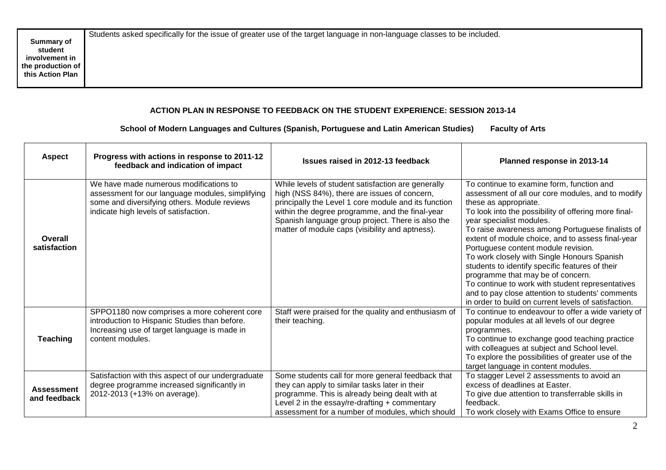## **ACTION PLAN IN RESPONSE TO FEEDBACK ON THE STUDENT EXPERIENCE: SESSION 2013-14**

## **School of Modern Languages and Cultures (Spanish, Portuguese and Latin American Studies) Faculty of Arts**

| <b>Aspect</b>                     | Progress with actions in response to 2011-12<br>feedback and indication of impact                                                                                                   | Issues raised in 2012-13 feedback                                                                                                                                                                                                                                                                                     | Planned response in 2013-14                                                                                                                                                                                                                                                                                                                                                                                                                                                                                                                                                                                                                                        |
|-----------------------------------|-------------------------------------------------------------------------------------------------------------------------------------------------------------------------------------|-----------------------------------------------------------------------------------------------------------------------------------------------------------------------------------------------------------------------------------------------------------------------------------------------------------------------|--------------------------------------------------------------------------------------------------------------------------------------------------------------------------------------------------------------------------------------------------------------------------------------------------------------------------------------------------------------------------------------------------------------------------------------------------------------------------------------------------------------------------------------------------------------------------------------------------------------------------------------------------------------------|
| Overall<br>satisfaction           | We have made numerous modifications to<br>assessment for our language modules, simplifying<br>some and diversifying others. Module reviews<br>indicate high levels of satisfaction. | While levels of student satisfaction are generally<br>high (NSS 84%), there are issues of concern,<br>principally the Level 1 core module and its function<br>within the degree programme, and the final-year<br>Spanish language group project. There is also the<br>matter of module caps (visibility and aptness). | To continue to examine form, function and<br>assessment of all our core modules, and to modify<br>these as appropriate.<br>To look into the possibility of offering more final-<br>year specialist modules.<br>To raise awareness among Portuguese finalists of<br>extent of module choice, and to assess final-year<br>Portuguese content module revision.<br>To work closely with Single Honours Spanish<br>students to identify specific features of their<br>programme that may be of concern.<br>To continue to work with student representatives<br>and to pay close attention to students' comments<br>in order to build on current levels of satisfaction. |
| <b>Teaching</b>                   | SPPO1180 now comprises a more coherent core<br>introduction to Hispanic Studies than before.<br>Increasing use of target language is made in<br>content modules.                    | Staff were praised for the quality and enthusiasm of<br>their teaching.                                                                                                                                                                                                                                               | To continue to endeavour to offer a wide variety of<br>popular modules at all levels of our degree<br>programmes.<br>To continue to exchange good teaching practice<br>with colleagues at subject and School level.<br>To explore the possibilities of greater use of the<br>target language in content modules.                                                                                                                                                                                                                                                                                                                                                   |
| <b>Assessment</b><br>and feedback | Satisfaction with this aspect of our undergraduate<br>degree programme increased significantly in<br>2012-2013 (+13% on average).                                                   | Some students call for more general feedback that<br>they can apply to similar tasks later in their<br>programme. This is already being dealt with at<br>Level 2 in the essay/re-drafting + commentary<br>assessment for a number of modules, which should                                                            | To stagger Level 2 assessments to avoid an<br>excess of deadlines at Easter.<br>To give due attention to transferrable skills in<br>feedback.<br>To work closely with Exams Office to ensure                                                                                                                                                                                                                                                                                                                                                                                                                                                                       |